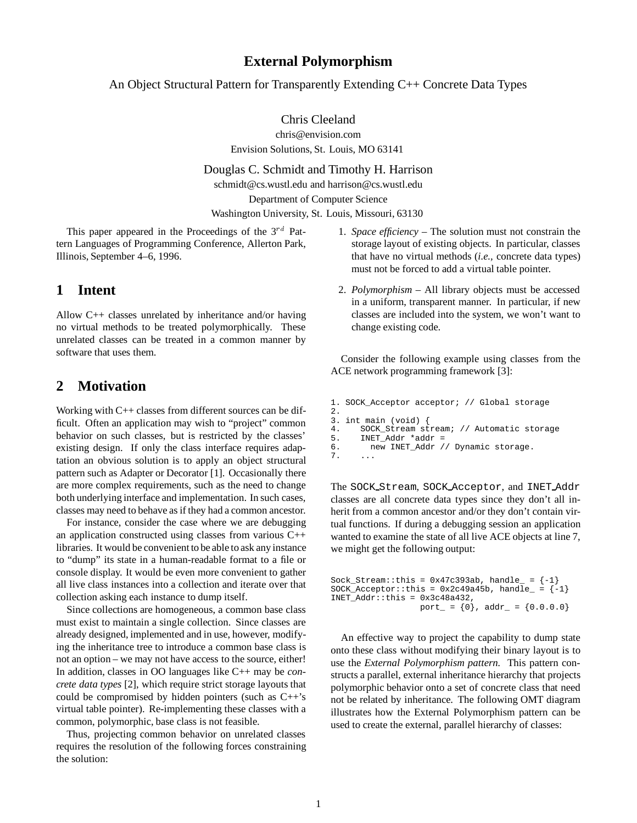#### **External Polymorphism**

An Object Structural Pattern for Transparently Extending C++ Concrete Data Types

Chris Cleeland

chris@envision.com

Envision Solutions, St. Louis, MO 63141

Douglas C. Schmidt and Timothy H. Harrison

schmidt@cs.wustl.edu and harrison@cs.wustl.edu

Department of Computer Science

Washington University, St. Louis, Missouri, 63130

This paper appeared in the Proceedings of the  $3^{rd}$  Pattern Languages of Programming Conference, Allerton Park, Illinois, September 4–6, 1996.

#### **1 Intent**

Allow C++ classes unrelated by inheritance and/or having no virtual methods to be treated polymorphically. These unrelated classes can be treated in a common manner by software that uses them.

### **2 Motivation**

Working with C++ classes from different sources can be difficult. Often an application may wish to "project" common behavior on such classes, but is restricted by the classes' existing design. If only the class interface requires adaptation an obvious solution is to apply an object structural pattern such as Adapter or Decorator [1]. Occasionally there are more complex requirements, such as the need to change both underlying interface and implementation. In such cases, classes may need to behave as if they had a common ancestor.

For instance, consider the case where we are debugging an application constructed using classes from various C++ libraries. It would be convenient to be able to ask any instance to "dump" its state in a human-readable format to a file or console display. It would be even more convenient to gather all live class instances into a collection and iterate over that collection asking each instance to dump itself.

Since collections are homogeneous, a common base class must exist to maintain a single collection. Since classes are already designed, implemented and in use, however, modifying the inheritance tree to introduce a common base class is not an option – we may not have access to the source, either! In addition, classes in OO languages like C++ may be *concrete data types* [2], which require strict storage layouts that could be compromised by hidden pointers (such as C++'s virtual table pointer). Re-implementing these classes with a common, polymorphic, base class is not feasible.

Thus, projecting common behavior on unrelated classes requires the resolution of the following forces constraining the solution:

- 1. *Space efficiency* The solution must not constrain the storage layout of existing objects. In particular, classes that have no virtual methods (*i.e.,* concrete data types) must not be forced to add a virtual table pointer.
- 2. *Polymorphism* All library objects must be accessed in a uniform, transparent manner. In particular, if new classes are included into the system, we won't want to change existing code.

Consider the following example using classes from the ACE network programming framework [3]:

```
1. SOCK_Acceptor acceptor; // Global storage
2.
3. int main (void) {
4. SOCK_Stream stream; // Automatic storage<br>5. INET_Addr *addr =
5. INET_Addr *addr =<br>6. new INET_Addr /
         new INET_Addr // Dynamic storage.
7.
```
The SOCK Stream, SOCK Acceptor, and INET Addr classes are all concrete data types since they don't all inherit from a common ancestor and/or they don't contain virtual functions. If during a debugging session an application wanted to examine the state of all live ACE objects at line 7, we might get the following output:

```
Sock_Stream::this = 0x47c393ab, handle_ = \{-1\}SOCK_Acceptor::this = 0x2c49a45b, handle_ = \{-1\}INET_Addr::this = 0x3c48a432,
                  port_ = \{0\}, addr_ = \{0.0.0.0\}
```
An effective way to project the capability to dump state onto these class without modifying their binary layout is to use the *External Polymorphism pattern.* This pattern constructs a parallel, external inheritance hierarchy that projects polymorphic behavior onto a set of concrete class that need not be related by inheritance. The following OMT diagram illustrates how the External Polymorphism pattern can be used to create the external, parallel hierarchy of classes: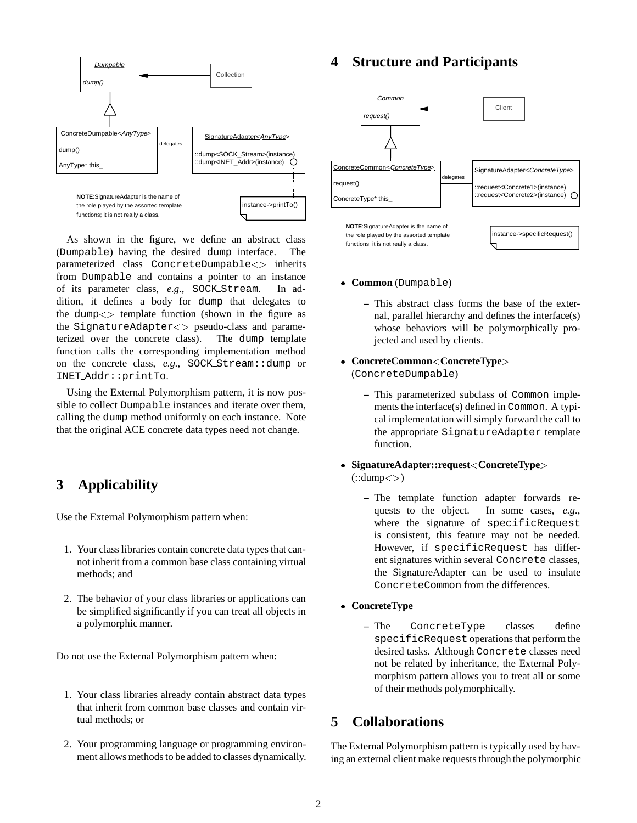

As shown in the figure, we define an abstract class (Dumpable) having the desired dump interface. The parameterized class ConcreteDumpable<> inherits from Dumpable and contains a pointer to an instance of its parameter class, *e.g.*, SOCK Stream. In addition, it defines a body for dump that delegates to the dump $\lt$  template function (shown in the figure as the SignatureAdapter<> pseudo-class and parameterized over the concrete class). The dump template function calls the corresponding implementation method on the concrete class, *e.g.*, SOCK Stream::dump or INET Addr::printTo.

Using the External Polymorphism pattern, it is now possible to collect Dumpable instances and iterate over them, calling the dump method uniformly on each instance. Note that the original ACE concrete data types need not change.

# **3 Applicability**

Use the External Polymorphism pattern when:

- 1. Your class libraries contain concrete data types that cannot inherit from a common base class containing virtual methods; and
- 2. The behavior of your class libraries or applications can be simplified significantly if you can treat all objects in a polymorphic manner.

Do not use the External Polymorphism pattern when:

- 1. Your class libraries already contain abstract data types that inherit from common base classes and contain virtual methods; or
- 2. Your programming language or programming environment allows methods to be added to classes dynamically.

## **4 Structure and Participants**



- **Common** (Dumpable)
	- **–** This abstract class forms the base of the external, parallel hierarchy and defines the interface(s) whose behaviors will be polymorphically projected and used by clients.
- **ConcreteCommon**<**ConcreteType**<sup>&</sup>gt; (ConcreteDumpable)
	- **–** This parameterized subclass of Common implements the interface(s) defined in Common. A typical implementation will simply forward the call to the appropriate SignatureAdapter template function.
- **SignatureAdapter::request**<**ConcreteType**<sup>&</sup>gt;
	- $(:: \text{dump} \lt >)$ 
		- **–** The template function adapter forwards requests to the object. In some cases, *e.g.*, where the signature of specificRequest is consistent, this feature may not be needed. However, if specificRequest has different signatures within several Concrete classes, the SignatureAdapter can be used to insulate ConcreteCommon from the differences.
- **ConcreteType**
	- **–** The ConcreteType classes define specificRequest operations that perform the desired tasks. Although Concrete classes need not be related by inheritance, the External Polymorphism pattern allows you to treat all or some of their methods polymorphically.

## **5 Collaborations**

The External Polymorphism pattern is typically used by having an external client make requests through the polymorphic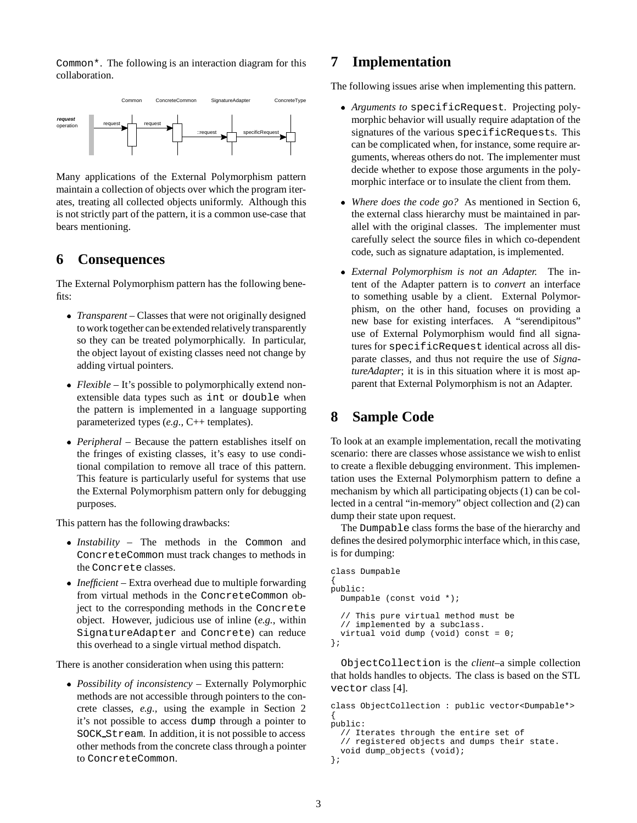Common\*. The following is an interaction diagram for this collaboration.



Many applications of the External Polymorphism pattern maintain a collection of objects over which the program iterates, treating all collected objects uniformly. Although this is not strictly part of the pattern, it is a common use-case that bears mentioning.

#### **6 Consequences**

The External Polymorphism pattern has the following benefits:

- *Transparent* Classes that were not originally designed to work together can be extended relatively transparently so they can be treated polymorphically. In particular, the object layout of existing classes need not change by adding virtual pointers.
- *Flexible* It's possible to polymorphically extend nonextensible data types such as int or double when the pattern is implemented in a language supporting parameterized types (*e.g.,* C++ templates).
- *Peripheral* Because the pattern establishes itself on the fringes of existing classes, it's easy to use conditional compilation to remove all trace of this pattern. This feature is particularly useful for systems that use the External Polymorphism pattern only for debugging purposes.

This pattern has the following drawbacks:

- *Instability* The methods in the Common and ConcreteCommon must track changes to methods in the Concrete classes.
- *Inefficient* Extra overhead due to multiple forwarding from virtual methods in the ConcreteCommon object to the corresponding methods in the Concrete object. However, judicious use of inline (*e.g.*, within SignatureAdapter and Concrete) can reduce this overhead to a single virtual method dispatch.

There is another consideration when using this pattern:

 *Possibility of inconsistency* – Externally Polymorphic methods are not accessible through pointers to the concrete classes, *e.g.,* using the example in Section 2 it's not possible to access dump through a pointer to SOCK Stream. In addition, it is not possible to access other methods from the concrete class through a pointer to ConcreteCommon.

#### **7 Implementation**

The following issues arise when implementing this pattern.

- *Arguments to* specificRequest*.* Projecting polymorphic behavior will usually require adaptation of the signatures of the various specificRequests. This can be complicated when, for instance, some require arguments, whereas others do not. The implementer must decide whether to expose those arguments in the polymorphic interface or to insulate the client from them.
- *Where does the code go?* As mentioned in Section 6, the external class hierarchy must be maintained in parallel with the original classes. The implementer must carefully select the source files in which co-dependent code, such as signature adaptation, is implemented.
- *External Polymorphism is not an Adapter.* The intent of the Adapter pattern is to *convert* an interface to something usable by a client. External Polymorphism, on the other hand, focuses on providing a new base for existing interfaces. A "serendipitous" use of External Polymorphism would find all signatures for specificRequest identical across all disparate classes, and thus not require the use of *SignatureAdapter*; it is in this situation where it is most apparent that External Polymorphism is not an Adapter.

## **8 Sample Code**

To look at an example implementation, recall the motivating scenario: there are classes whose assistance we wish to enlist to create a flexible debugging environment. This implementation uses the External Polymorphism pattern to define a mechanism by which all participating objects (1) can be collected in a central "in-memory" object collection and (2) can dump their state upon request.

The Dumpable class forms the base of the hierarchy and defines the desired polymorphic interface which, in this case, is for dumping:

```
class Dumpable
{
public:
 Dumpable (const void *);
  // This pure virtual method must be
  // implemented by a subclass.
 virtual void dump (void) const = 0;
};
```
ObjectCollection is the *client*–a simple collection that holds handles to objects. The class is based on the STL vector class [4].

```
class ObjectCollection : public vector<Dumpable*>
{
public:
  // Iterates through the entire set of
  // registered objects and dumps their state.
  void dump_objects (void);
};
```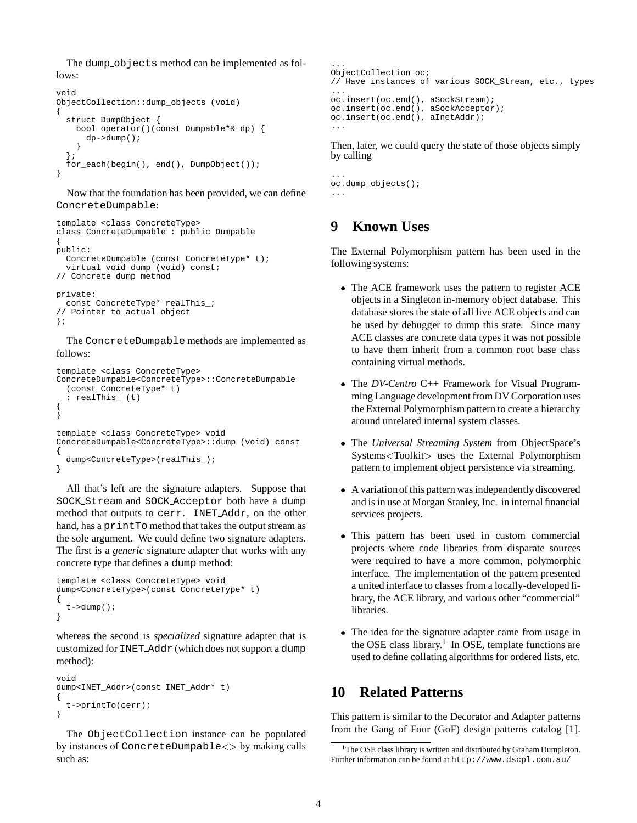The dump objects method can be implemented as follows:

```
void
ObjectCollection::dump_objects (void)
{
  struct DumpObject {
    bool operator()(const Dumpable*& dp) {
      dp->dump();
    }
  };
  for_each(begin(), end(), DumpObject());
}
```
Now that the foundation has been provided, we can define ConcreteDumpable:

```
template <class ConcreteType>
class ConcreteDumpable : public Dumpable
{
public:
 ConcreteDumpable (const ConcreteType* t);
  virtual void dump (void) const;
// Concrete dump method
private:
  const ConcreteType* realThis_;
  Pointer to actual object
};
```
The ConcreteDumpable methods are implemented as follows:

```
template <class ConcreteType>
ConcreteDumpable<ConcreteType>::ConcreteDumpable
  (const ConcreteType* t)
  : realThis_ (t)
{
}
template <class ConcreteType> void
ConcreteDumpable<ConcreteType>::dump (void) const
{
  dump<ConcreteType>(realThis_);
}
```
All that's left are the signature adapters. Suppose that SOCK Stream and SOCK Acceptor both have a dump method that outputs to cerr. INET Addr, on the other hand, has a printTo method that takes the output stream as the sole argument. We could define two signature adapters. The first is a *generic* signature adapter that works with any concrete type that defines a dump method:

```
template <class ConcreteType> void
dump<ConcreteType>(const ConcreteType* t)
{
  t - >dump();
}
```
whereas the second is *specialized* signature adapter that is customized for INET Addr (which does not support a dump method):

```
void
dump<INET_Addr>(const INET_Addr* t)
{
  t->printTo(cerr);
}
```
The ObjectCollection instance can be populated by instances of ConcreteDumpable<> by making calls such as:

```
...
ObjectCollection oc;
// Have instances of various SOCK_Stream, etc., types
...
oc.insert(oc.end(), aSockStream);
oc.insert(oc.end(), aSockAcceptor);
oc.insert(oc.end(), aInetAddr);
...
```
Then, later, we could query the state of those objects simply by calling

```
...
oc.dump_objects();
...
```
## **9 Known Uses**

The External Polymorphism pattern has been used in the following systems:

- The ACE framework uses the pattern to register ACE objects in a Singleton in-memory object database. This database stores the state of all live ACE objects and can be used by debugger to dump this state. Since many ACE classes are concrete data types it was not possible to have them inherit from a common root base class containing virtual methods.
- The*DV-Centro* C++ Framework for Visual Programming Language development from DV Corporation uses the External Polymorphism pattern to create a hierarchy around unrelated internal system classes.
- The*Universal Streaming System* from ObjectSpace's Systems<Toolkit<sup>&</sup>gt; uses the External Polymorphism pattern to implement object persistence via streaming.
- A variationof this pattern was independentlydiscovered and is in use at Morgan Stanley, Inc. in internal financial services projects.
- This pattern has been used in custom commercial projects where code libraries from disparate sources were required to have a more common, polymorphic interface. The implementation of the pattern presented a united interface to classes from a locally-developed library, the ACE library, and various other "commercial" libraries.
- The idea for the signature adapter came from usage in the OSE class library.<sup>1</sup> In OSE, template functions are used to define collating algorithms for ordered lists, etc.

#### **10 Related Patterns**

This pattern is similar to the Decorator and Adapter patterns from the Gang of Four (GoF) design patterns catalog [1].

<sup>&</sup>lt;sup>1</sup>The OSE class library is written and distributed by Graham Dumpleton. Further information can be found at http://www.dscpl.com.au/